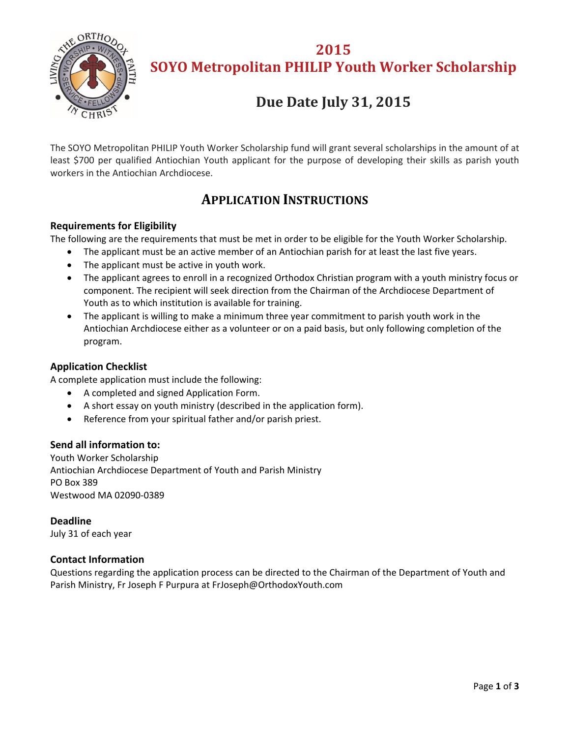

**2015 SOYO Metropolitan PHILIP Youth Worker Scholarship**

# **Due Date July 31, 2015**

The SOYO Metropolitan PHILIP Youth Worker Scholarship fund will grant several scholarships in the amount of at least \$700 per qualified Antiochian Youth applicant for the purpose of developing their skills as parish youth workers in the Antiochian Archdiocese.

## **APPLICATION INSTRUCTIONS**

### **Requirements for Eligibility**

The following are the requirements that must be met in order to be eligible for the Youth Worker Scholarship.

- The applicant must be an active member of an Antiochian parish for at least the last five years.
- The applicant must be active in youth work.
- The applicant agrees to enroll in a recognized Orthodox Christian program with a youth ministry focus or component. The recipient will seek direction from the Chairman of the Archdiocese Department of Youth as to which institution is available for training.
- The applicant is willing to make a minimum three year commitment to parish youth work in the Antiochian Archdiocese either as a volunteer or on a paid basis, but only following completion of the program.

### **Application Checklist**

A complete application must include the following:

- A completed and signed Application Form.
- A short essay on youth ministry (described in the application form).
- Reference from your spiritual father and/or parish priest.

#### **Send all information to:**

Youth Worker Scholarship Antiochian Archdiocese Department of Youth and Parish Ministry PO Box 389 Westwood MA 02090‐0389

**Deadline** July 31 of each year

### **Contact Information**

Questions regarding the application process can be directed to the Chairman of the Department of Youth and Parish Ministry, Fr Joseph F Purpura at FrJoseph@OrthodoxYouth.com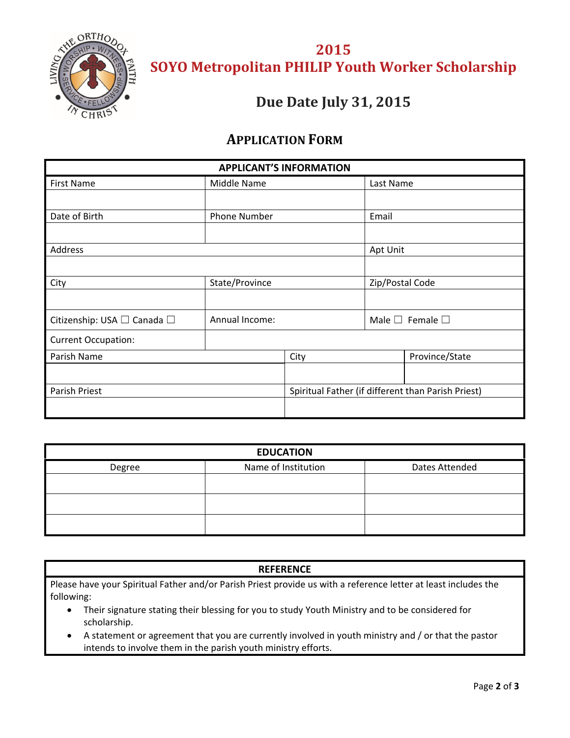

**2015 SOYO Metropolitan PHILIP Youth Worker Scholarship**

## **Due Date July 31, 2015**

### **APPLICATION FORM**

| <b>APPLICANT'S INFORMATION</b> |                |                                                    |                                 |                |  |
|--------------------------------|----------------|----------------------------------------------------|---------------------------------|----------------|--|
| <b>First Name</b>              | Middle Name    |                                                    | Last Name                       |                |  |
|                                |                |                                                    |                                 |                |  |
| Date of Birth                  | Phone Number   |                                                    | Email                           |                |  |
|                                |                |                                                    |                                 |                |  |
| <b>Address</b>                 |                | Apt Unit                                           |                                 |                |  |
|                                |                |                                                    |                                 |                |  |
| City                           | State/Province |                                                    | Zip/Postal Code                 |                |  |
|                                |                |                                                    |                                 |                |  |
| Citizenship: USA □ Canada □    | Annual Income: |                                                    | Male $\square$ Female $\square$ |                |  |
| <b>Current Occupation:</b>     |                |                                                    |                                 |                |  |
| Parish Name                    |                | City                                               |                                 | Province/State |  |
|                                |                |                                                    |                                 |                |  |
| Parish Priest                  |                | Spiritual Father (if different than Parish Priest) |                                 |                |  |
|                                |                |                                                    |                                 |                |  |

| <b>EDUCATION</b> |                     |                |  |  |  |
|------------------|---------------------|----------------|--|--|--|
| Degree           | Name of Institution | Dates Attended |  |  |  |
|                  |                     |                |  |  |  |
|                  |                     |                |  |  |  |
|                  |                     |                |  |  |  |

### **REFERENCE**

Please have your Spiritual Father and/or Parish Priest provide us with a reference letter at least includes the following:

- Their signature stating their blessing for you to study Youth Ministry and to be considered for scholarship.
- A statement or agreement that you are currently involved in youth ministry and / or that the pastor intends to involve them in the parish youth ministry efforts.